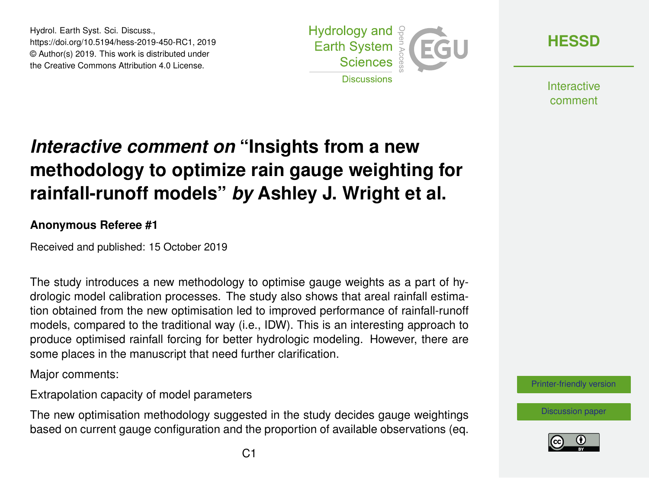Hydrol. Earth Syst. Sci. Discuss., https://doi.org/10.5194/hess-2019-450-RC1, 2019 © Author(s) 2019. This work is distributed under the Creative Commons Attribution 4.0 License.



**[HESSD](https://www.hydrol-earth-syst-sci-discuss.net/)**

**Interactive** comment

## *Interactive comment on* **"Insights from a new methodology to optimize rain gauge weighting for rainfall-runoff models"** *by* **Ashley J. Wright et al.**

## **Anonymous Referee #1**

Received and published: 15 October 2019

The study introduces a new methodology to optimise gauge weights as a part of hydrologic model calibration processes. The study also shows that areal rainfall estimation obtained from the new optimisation led to improved performance of rainfall-runoff models, compared to the traditional way (i.e., IDW). This is an interesting approach to produce optimised rainfall forcing for better hydrologic modeling. However, there are some places in the manuscript that need further clarification.

Major comments:

Extrapolation capacity of model parameters

The new optimisation methodology suggested in the study decides gauge weightings based on current gauge configuration and the proportion of available observations (eq.



[Discussion paper](https://www.hydrol-earth-syst-sci-discuss.net/hess-2019-450)

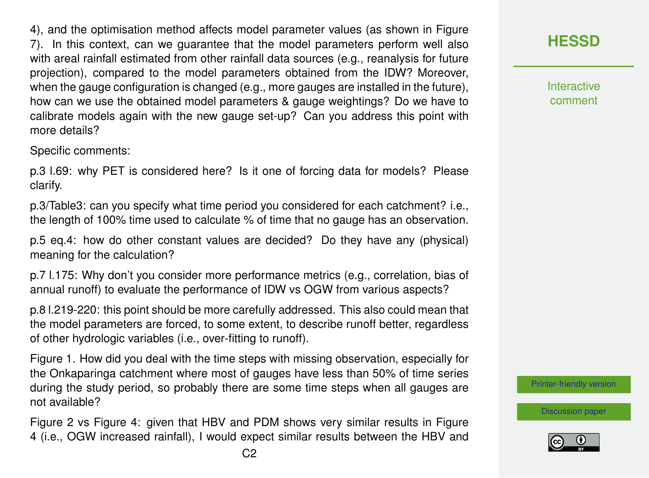4), and the optimisation method affects model parameter values (as shown in Figure 7). In this context, can we guarantee that the model parameters perform well also with areal rainfall estimated from other rainfall data sources (e.g., reanalysis for future projection), compared to the model parameters obtained from the IDW? Moreover, when the gauge configuration is changed (e.g., more gauges are installed in the future), how can we use the obtained model parameters & gauge weightings? Do we have to calibrate models again with the new gauge set-up? Can you address this point with more details?

Specific comments:

p.3 l.69: why PET is considered here? Is it one of forcing data for models? Please clarify.

p.3/Table3: can you specify what time period you considered for each catchment? i.e., the length of 100% time used to calculate % of time that no gauge has an observation.

p.5 eq.4: how do other constant values are decided? Do they have any (physical) meaning for the calculation?

p.7 l.175: Why don't you consider more performance metrics (e.g., correlation, bias of annual runoff) to evaluate the performance of IDW vs OGW from various aspects?

p.8 l.219-220: this point should be more carefully addressed. This also could mean that the model parameters are forced, to some extent, to describe runoff better, regardless of other hydrologic variables (i.e., over-fitting to runoff).

Figure 1. How did you deal with the time steps with missing observation, especially for the Onkaparinga catchment where most of gauges have less than 50% of time series during the study period, so probably there are some time steps when all gauges are not available?

Figure 2 vs Figure 4: given that HBV and PDM shows very similar results in Figure 4 (i.e., OGW increased rainfall), I would expect similar results between the HBV and **Interactive** comment

[Printer-friendly version](https://www.hydrol-earth-syst-sci-discuss.net/hess-2019-450/hess-2019-450-RC1-print.pdf)

[Discussion paper](https://www.hydrol-earth-syst-sci-discuss.net/hess-2019-450)